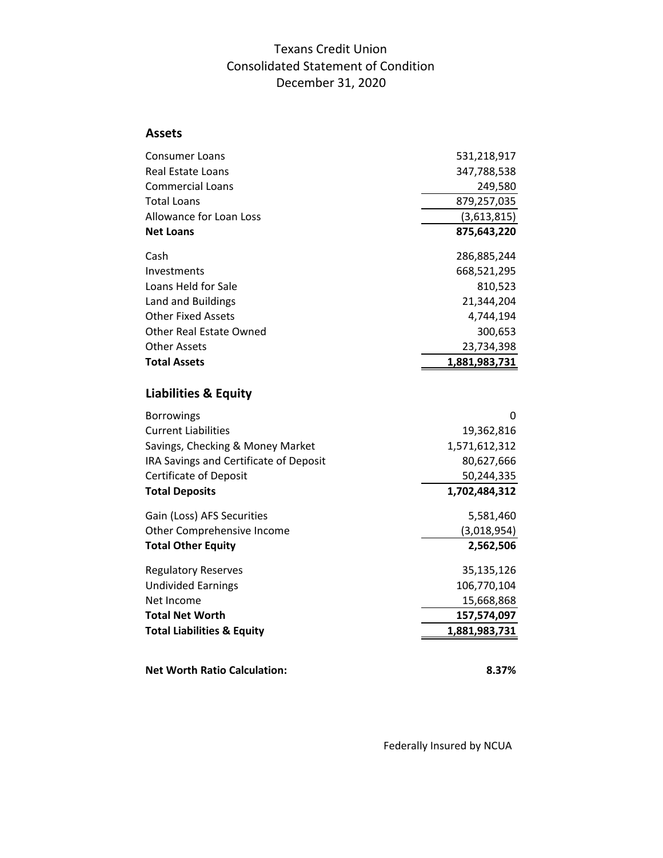## Texans Credit Union Consolidated Statement of Condition December 31, 2020

## **Assets**

| <b>Consumer Loans</b>                  | 531,218,917   |
|----------------------------------------|---------------|
| Real Estate Loans                      | 347,788,538   |
| <b>Commercial Loans</b>                | 249,580       |
| <b>Total Loans</b>                     | 879,257,035   |
| Allowance for Loan Loss                | (3,613,815)   |
| <b>Net Loans</b>                       | 875,643,220   |
| Cash                                   | 286,885,244   |
| Investments                            | 668,521,295   |
| Loans Held for Sale                    | 810,523       |
| Land and Buildings                     | 21,344,204    |
| <b>Other Fixed Assets</b>              | 4,744,194     |
| Other Real Estate Owned                | 300,653       |
| <b>Other Assets</b>                    | 23,734,398    |
| <b>Total Assets</b>                    | 1,881,983,731 |
|                                        |               |
| <b>Liabilities &amp; Equity</b>        |               |
| <b>Borrowings</b>                      | 0             |
| <b>Current Liabilities</b>             | 19,362,816    |
| Savings, Checking & Money Market       | 1,571,612,312 |
| IRA Savings and Certificate of Deposit | 80,627,666    |
| <b>Certificate of Deposit</b>          | 50,244,335    |
| <b>Total Deposits</b>                  | 1,702,484,312 |
| Gain (Loss) AFS Securities             | 5,581,460     |
| Other Comprehensive Income             | (3,018,954)   |
| <b>Total Other Equity</b>              | 2,562,506     |
| <b>Regulatory Reserves</b>             | 35,135,126    |
| <b>Undivided Earnings</b>              | 106,770,104   |
| Net Income                             | 15,668,868    |
| <b>Total Net Worth</b>                 | 157,574,097   |
| <b>Total Liabilities &amp; Equity</b>  | 1,881,983,731 |
|                                        |               |
| <b>Net Worth Ratio Calculation:</b>    | 8.37%         |

Federally Insured by NCUA